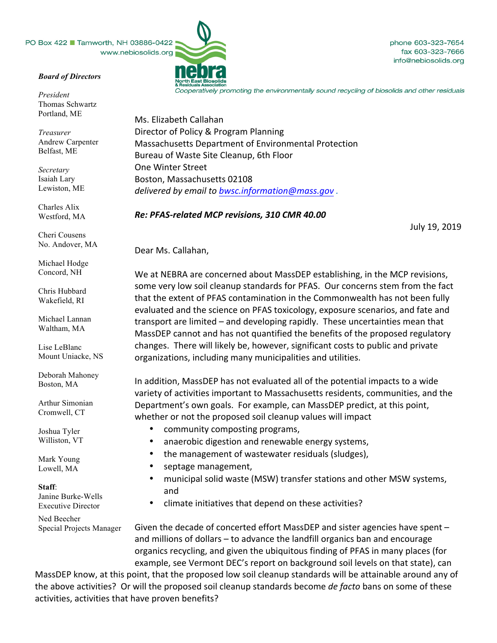PO Box 422 Tamworth, NH 03886-0422 www.nebiosolids.org

## *Board of Directors*

*President* Thomas Schwartz Portland, ME

*Treasurer* Andrew Carpenter Belfast, ME

*Secretary* Isaiah Lary Lewiston, ME

Charles Alix Westford, MA

Cheri Cousens No. Andover, MA

Michael Hodge Concord, NH

Chris Hubbard Wakefield, RI

Michael Lannan Waltham, MA

Lise LeBlanc Mount Uniacke, NS

Deborah Mahoney Boston, MA

Arthur Simonian Cromwell, CT

Joshua Tyler Williston, VT

Mark Young Lowell, MA

## **Staff**:

Janine Burke-Wells Executive Director

Ned Beecher Special Projects Manager

fax 603-323-7666 info@nebiosolids.org

phone 603-323-7654

Cooperatively promoting the environmentally sound recycling of biosolids and other residuals

Ms. Elizabeth Callahan Director of Policy & Program Planning Massachusetts Department of Environmental Protection Bureau of Waste Site Cleanup, 6th Floor One Winter Street Boston, Massachusetts 02108 *delivered by email to bwsc.information@mass.gov .*

## *Re: PFAS-related MCP revisions, 310 CMR 40.00*

July 19, 2019

Dear Ms. Callahan,

We at NEBRA are concerned about MassDEP establishing, in the MCP revisions, some very low soil cleanup standards for PFAS. Our concerns stem from the fact that the extent of PFAS contamination in the Commonwealth has not been fully evaluated and the science on PFAS toxicology, exposure scenarios, and fate and transport are limited  $-$  and developing rapidly. These uncertainties mean that MassDEP cannot and has not quantified the benefits of the proposed regulatory changes. There will likely be, however, significant costs to public and private organizations, including many municipalities and utilities.

In addition, MassDEP has not evaluated all of the potential impacts to a wide variety of activities important to Massachusetts residents, communities, and the Department's own goals. For example, can MassDEP predict, at this point, whether or not the proposed soil cleanup values will impact

- community composting programs,
- anaerobic digestion and renewable energy systems,
- the management of wastewater residuals (sludges),
- septage management,
- municipal solid waste (MSW) transfer stations and other MSW systems, and
- climate initiatives that depend on these activities?

Given the decade of concerted effort MassDEP and sister agencies have spent – and millions of dollars  $-$  to advance the landfill organics ban and encourage organics recycling, and given the ubiquitous finding of PFAS in many places (for example, see Vermont DEC's report on background soil levels on that state), can

MassDEP know, at this point, that the proposed low soil cleanup standards will be attainable around any of the above activities? Or will the proposed soil cleanup standards become *de facto* bans on some of these activities, activities that have proven benefits?